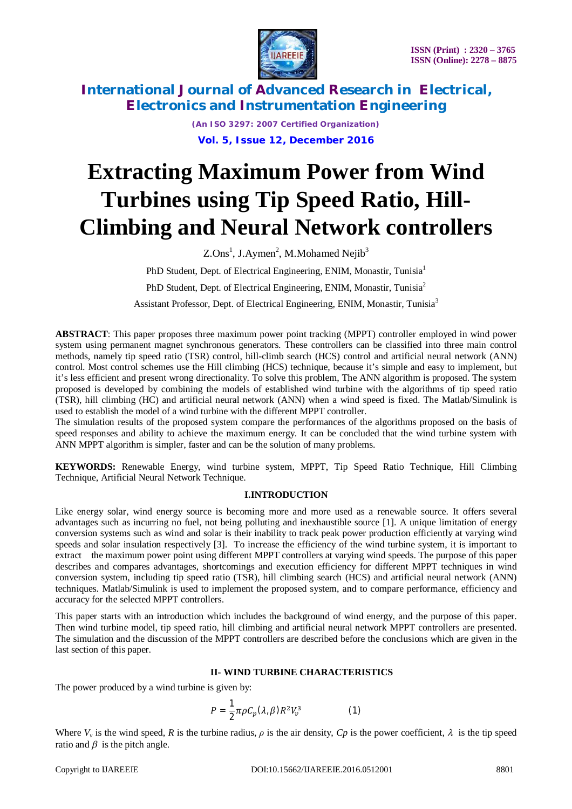

> *(An ISO 3297: 2007 Certified Organization)* **Vol. 5, Issue 12, December 2016**

# **Extracting Maximum Power from Wind Turbines using Tip Speed Ratio, Hill-Climbing and Neural Network controllers**

 $Z$ .Ons<sup>1</sup>, J.Aymen<sup>2</sup>, M.Mohamed Nejib<sup>3</sup>

PhD Student, Dept. of Electrical Engineering, ENIM, Monastir, Tunisia<sup>1</sup>

PhD Student, Dept. of Electrical Engineering, ENIM, Monastir, Tunisia<sup>2</sup>

Assistant Professor, Dept. of Electrical Engineering, ENIM, Monastir, Tunisia<sup>3</sup>

**ABSTRACT**: This paper proposes three maximum power point tracking (MPPT) controller employed in wind power system using permanent magnet synchronous generators. These controllers can be classified into three main control methods, namely tip speed ratio (TSR) control, hill-climb search (HCS) control and artificial neural network (ANN) control. Most control schemes use the Hill climbing (HCS) technique, because it's simple and easy to implement, but it's less efficient and present wrong directionality. To solve this problem, The ANN algorithm is proposed. The system proposed is developed by combining the models of established wind turbine with the algorithms of tip speed ratio (TSR), hill climbing (HC) and artificial neural network (ANN) when a wind speed is fixed. The Matlab/Simulink is used to establish the model of a wind turbine with the different MPPT controller.

The simulation results of the proposed system compare the performances of the algorithms proposed on the basis of speed responses and ability to achieve the maximum energy. It can be concluded that the wind turbine system with ANN MPPT algorithm is simpler, faster and can be the solution of many problems.

**KEYWORDS:** Renewable Energy, wind turbine system, MPPT, Tip Speed Ratio Technique, Hill Climbing Technique, Artificial Neural Network Technique.

## **I.INTRODUCTION**

Like energy solar, wind energy source is becoming more and more used as a renewable source. It offers several advantages such as incurring no fuel, not being polluting and inexhaustible source [1]. A unique limitation of energy conversion systems such as wind and solar is their inability to track peak power production efficiently at varying wind speeds and solar insulation respectively [3]. To increase the efficiency of the wind turbine system, it is important to extract the maximum power point using different MPPT controllers at varying wind speeds. The purpose of this paper describes and compares advantages, shortcomings and execution efficiency for different MPPT techniques in wind conversion system, including tip speed ratio (TSR), hill climbing search (HCS) and artificial neural network (ANN) techniques. Matlab/Simulink is used to implement the proposed system, and to compare performance, efficiency and accuracy for the selected MPPT controllers.

This paper starts with an introduction which includes the background of wind energy, and the purpose of this paper. Then wind turbine model, tip speed ratio, hill climbing and artificial neural network MPPT controllers are presented. The simulation and the discussion of the MPPT controllers are described before the conclusions which are given in the last section of this paper.

## **II- WIND TURBINE CHARACTERISTICS**

The power produced by a wind turbine is given by:

$$
P = \frac{1}{2} \pi \rho C_p (\lambda, \beta) R^2 V_v^3 \tag{1}
$$

Where  $V_\nu$  is the wind speed, R is the turbine radius,  $\rho$  is the air density,  $Cp$  is the power coefficient,  $\lambda$  is the tip speed ratio and  $\beta$  is the pitch angle.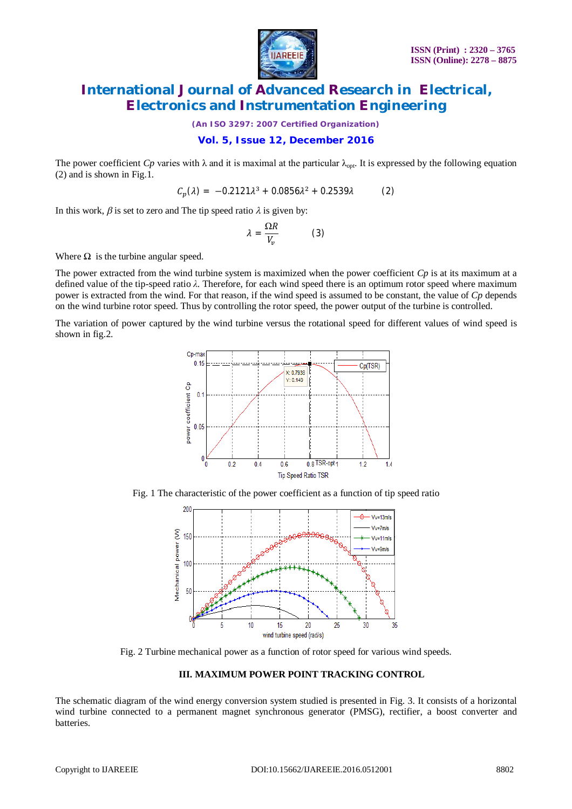

*(An ISO 3297: 2007 Certified Organization)*

## **Vol. 5, Issue 12, December 2016**

The power coefficient  $C_p$  varies with  $\lambda$  and it is maximal at the particular  $\lambda_{\text{opt}}$ . It is expressed by the following equation (2) and is shown in Fig.1.

$$
C_p(\lambda) = -0.2121\lambda^3 + 0.0856\lambda^2 + 0.2539\lambda
$$
 (2)

In this work,  $\beta$  is set to zero and The tip speed ratio  $\lambda$  is given by:

$$
\lambda = \frac{\Omega R}{V_v} \tag{3}
$$

Where  $\Omega$  is the turbine angular speed.

The power extracted from the wind turbine system is maximized when the power coefficient *Cp* is at its maximum at a defined value of the tip-speed ratio *λ*. Therefore, for each wind speed there is an optimum rotor speed where maximum power is extracted from the wind. For that reason, if the wind speed is assumed to be constant, the value of *Cp* depends on the wind turbine rotor speed. Thus by controlling the rotor speed, the power output of the turbine is controlled.

The variation of power captured by the wind turbine versus the rotational speed for different values of wind speed is shown in fig.2.



Fig. 1 The characteristic of the power coefficient as a function of tip speed ratio



Fig. 2 Turbine mechanical power as a function of rotor speed for various wind speeds.

#### **III. MAXIMUM POWER POINT TRACKING CONTROL**

The schematic diagram of the wind energy conversion system studied is presented in Fig. 3. It consists of a horizontal wind turbine connected to a permanent magnet synchronous generator (PMSG), rectifier, a boost converter and batteries.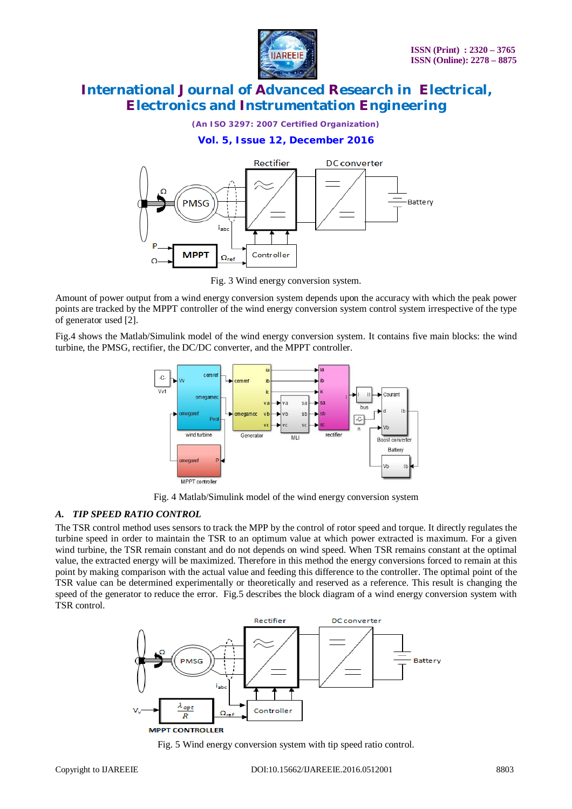

*(An ISO 3297: 2007 Certified Organization)*

## **Vol. 5, Issue 12, December 2016**



Fig. 3 Wind energy conversion system.

Amount of power output from a wind energy conversion system depends upon the accuracy with which the peak power points are tracked by the MPPT controller of the wind energy conversion system control system irrespective of the type of generator used [2].

Fig.4 shows the Matlab/Simulink model of the wind energy conversion system. It contains five main blocks: the wind turbine, the PMSG, rectifier, the DC/DC converter, and the MPPT controller.



Fig. 4 Matlab/Simulink model of the wind energy conversion system

#### *A. TIP SPEED RATIO CONTROL*

The TSR control method uses sensors to track the MPP by the control of rotor speed and torque. It directly regulates the turbine speed in order to maintain the TSR to an optimum value at which power extracted is maximum. For a given wind turbine, the TSR remain constant and do not depends on wind speed. When TSR remains constant at the optimal value, the extracted energy will be maximized. Therefore in this method the energy conversions forced to remain at this point by making comparison with the actual value and feeding this difference to the controller. The optimal point of the TSR value can be determined experimentally or theoretically and reserved as a reference. This result is changing the speed of the generator to reduce the error. Fig.5 describes the block diagram of a wind energy conversion system with TSR control.



Fig. 5 Wind energy conversion system with tip speed ratio control.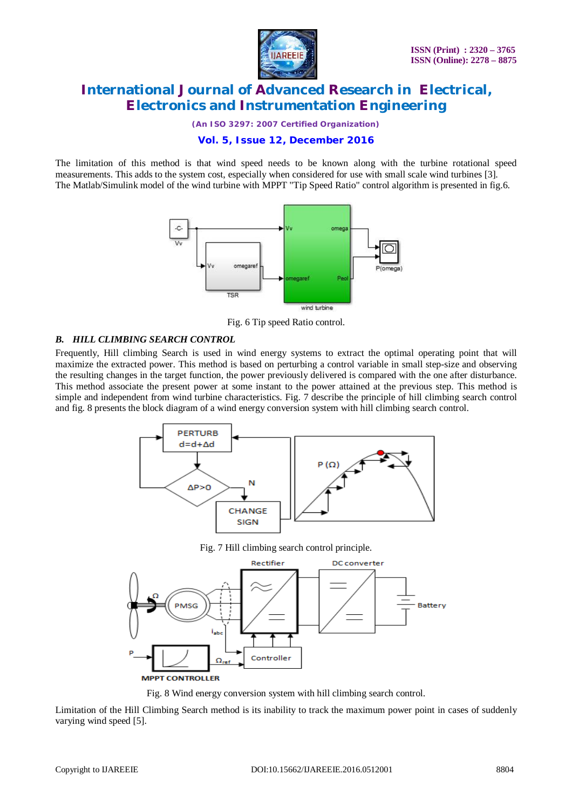

*(An ISO 3297: 2007 Certified Organization)*

## **Vol. 5, Issue 12, December 2016**

The limitation of this method is that wind speed needs to be known along with the turbine rotational speed measurements. This adds to the system cost, especially when considered for use with small scale wind turbines [3]. The Matlab/Simulink model of the wind turbine with MPPT "Tip Speed Ratio" control algorithm is presented in fig.6.



Fig. 6 Tip speed Ratio control.

#### *B. HILL CLIMBING SEARCH CONTROL*

Frequently, Hill climbing Search is used in wind energy systems to extract the optimal operating point that will maximize the extracted power. This method is based on perturbing a control variable in small step-size and observing the resulting changes in the target function, the power previously delivered is compared with the one after disturbance. This method associate the present power at some instant to the power attained at the previous step. This method is simple and independent from wind turbine characteristics. Fig. 7 describe the principle of hill climbing search control and fig. 8 presents the block diagram of a wind energy conversion system with hill climbing search control.



Fig. 7 Hill climbing search control principle.



Fig. 8 Wind energy conversion system with hill climbing search control.

Limitation of the Hill Climbing Search method is its inability to track the maximum power point in cases of suddenly varying wind speed [5].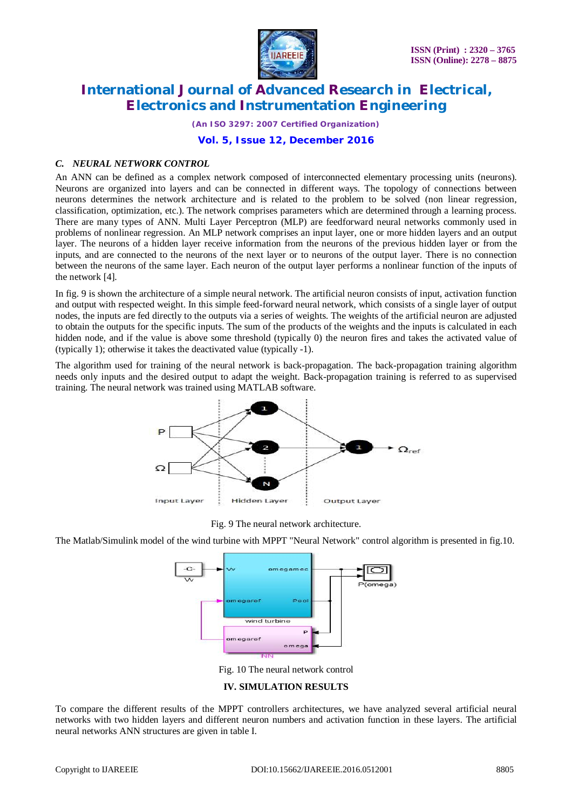

*(An ISO 3297: 2007 Certified Organization)*

#### **Vol. 5, Issue 12, December 2016**

#### *C. NEURAL NETWORK CONTROL*

An ANN can be defined as a complex network composed of interconnected elementary processing units (neurons). Neurons are organized into layers and can be connected in different ways. The topology of connections between neurons determines the network architecture and is related to the problem to be solved (non linear regression, classification, optimization, etc.). The network comprises parameters which are determined through a learning process. There are many types of ANN. Multi Layer Perceptron (MLP) are feedforward neural networks commonly used in problems of nonlinear regression. An MLP network comprises an input layer, one or more hidden layers and an output layer. The neurons of a hidden layer receive information from the neurons of the previous hidden layer or from the inputs, and are connected to the neurons of the next layer or to neurons of the output layer. There is no connection between the neurons of the same layer. Each neuron of the output layer performs a nonlinear function of the inputs of the network [4].

In fig. 9 is shown the architecture of a simple neural network. The artificial neuron consists of input, activation function and output with respected weight. In this simple feed-forward neural network, which consists of a single layer of output nodes, the inputs are fed directly to the outputs via a series of weights. The weights of the artificial neuron are adjusted to obtain the outputs for the specific inputs. The sum of the products of the weights and the inputs is calculated in each hidden node, and if the value is above some threshold (typically 0) the neuron fires and takes the activated value of (typically 1); otherwise it takes the deactivated value (typically -1).

The algorithm used for training of the neural network is back-propagation. The back-propagation training algorithm needs only inputs and the desired output to adapt the weight. Back-propagation training is referred to as supervised training. The neural network was trained using MATLAB software.



Fig. 9 The neural network architecture.

The Matlab/Simulink model of the wind turbine with MPPT "Neural Network" control algorithm is presented in fig.10.



Fig. 10 The neural network control

#### **IV. SIMULATION RESULTS**

To compare the different results of the MPPT controllers architectures, we have analyzed several artificial neural networks with two hidden layers and different neuron numbers and activation function in these layers. The artificial neural networks ANN structures are given in table I.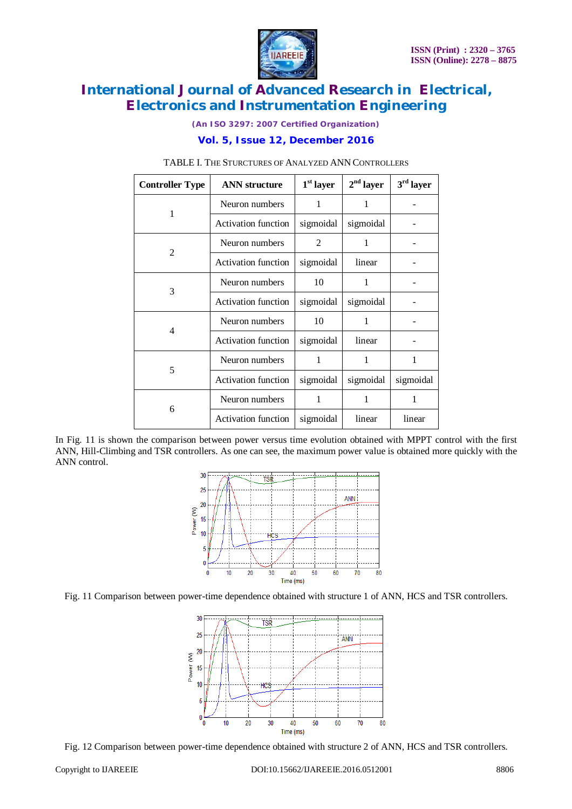

*(An ISO 3297: 2007 Certified Organization)*

## **Vol. 5, Issue 12, December 2016**

| <b>Controller Type</b> | <b>ANN</b> structure       | $1st$ layer    | $2nd$ layer | $3^{\rm rd}$ layer |
|------------------------|----------------------------|----------------|-------------|--------------------|
| 1                      | Neuron numbers             | 1              | 1           |                    |
|                        | Activation function        | sigmoidal      | sigmoidal   |                    |
| 2                      | Neuron numbers             | $\mathfrak{D}$ | 1           |                    |
|                        | <b>Activation function</b> | sigmoidal      | linear      |                    |
| 3                      | Neuron numbers             | 10             | 1           |                    |
|                        | <b>Activation function</b> | sigmoidal      | sigmoidal   |                    |
| 4                      | Neuron numbers             | 10             | 1           |                    |
|                        | <b>Activation function</b> | sigmoidal      | linear      |                    |
| 5                      | Neuron numbers             | 1              | 1           | 1                  |
|                        | <b>Activation function</b> | sigmoidal      | sigmoidal   | sigmoidal          |
| 6                      | Neuron numbers             | 1              | 1           | 1                  |
|                        | Activation function        | sigmoidal      | linear      | linear             |

#### TABLE I. THE STURCTURES OF ANALYZED ANN CONTROLLERS

In Fig. 11 is shown the comparison between power versus time evolution obtained with MPPT control with the first ANN, Hill-Climbing and TSR controllers. As one can see, the maximum power value is obtained more quickly with the ANN control.







Fig. 12 Comparison between power-time dependence obtained with structure 2 of ANN, HCS and TSR controllers.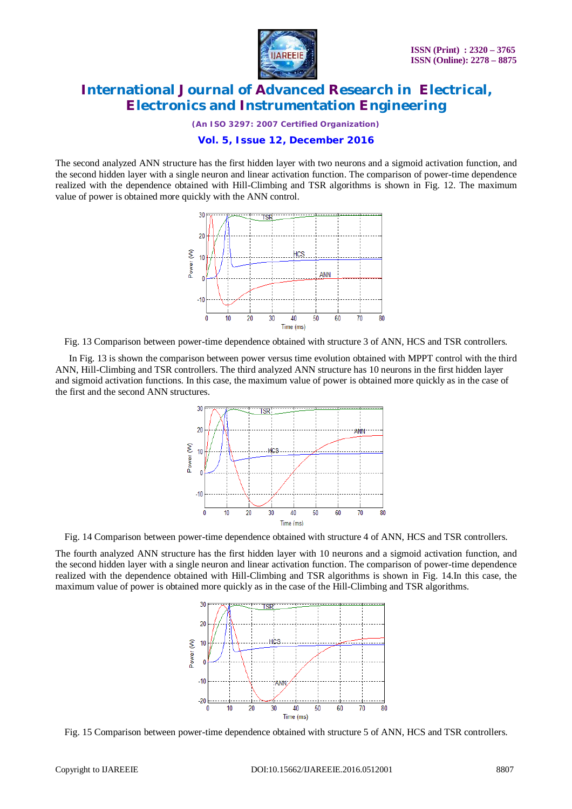

*(An ISO 3297: 2007 Certified Organization)*

#### **Vol. 5, Issue 12, December 2016**

The second analyzed ANN structure has the first hidden layer with two neurons and a sigmoid activation function, and the second hidden layer with a single neuron and linear activation function. The comparison of power-time dependence realized with the dependence obtained with Hill-Climbing and TSR algorithms is shown in Fig. 12. The maximum value of power is obtained more quickly with the ANN control.



Fig. 13 Comparison between power-time dependence obtained with structure 3 of ANN, HCS and TSR controllers.

In Fig. 13 is shown the comparison between power versus time evolution obtained with MPPT control with the third ANN, Hill-Climbing and TSR controllers. The third analyzed ANN structure has 10 neurons in the first hidden layer and sigmoid activation functions. In this case, the maximum value of power is obtained more quickly as in the case of the first and the second ANN structures.



Fig. 14 Comparison between power-time dependence obtained with structure 4 of ANN, HCS and TSR controllers.

The fourth analyzed ANN structure has the first hidden layer with 10 neurons and a sigmoid activation function, and the second hidden layer with a single neuron and linear activation function. The comparison of power-time dependence realized with the dependence obtained with Hill-Climbing and TSR algorithms is shown in Fig. 14.In this case, the maximum value of power is obtained more quickly as in the case of the Hill-Climbing and TSR algorithms.



Fig. 15 Comparison between power-time dependence obtained with structure 5 of ANN, HCS and TSR controllers.